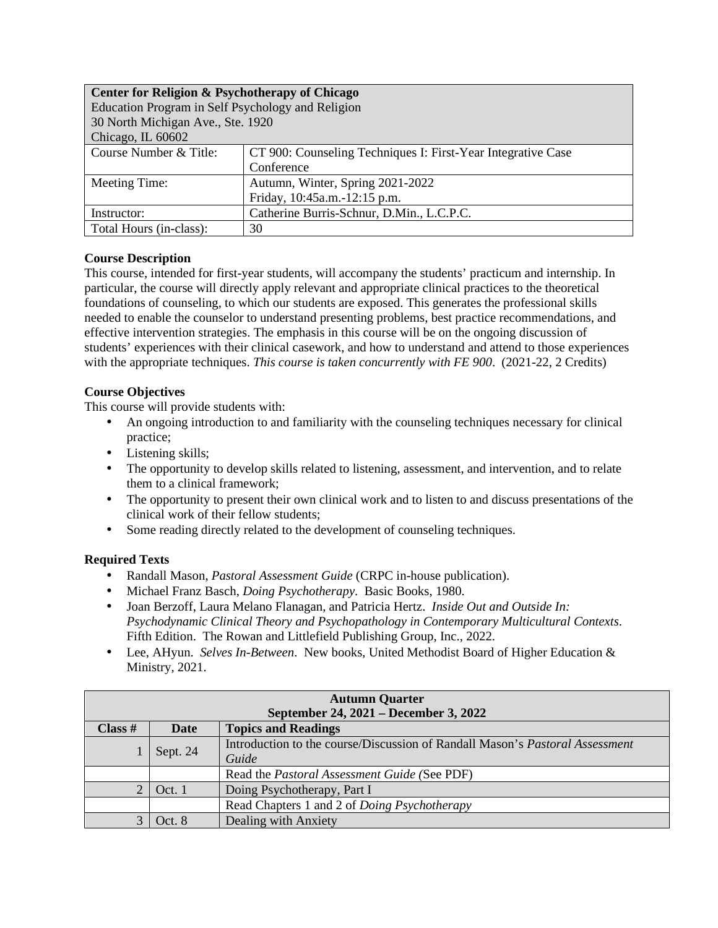| Center for Religion & Psychotherapy of Chicago    |                                                              |  |
|---------------------------------------------------|--------------------------------------------------------------|--|
| Education Program in Self Psychology and Religion |                                                              |  |
| 30 North Michigan Ave., Ste. 1920                 |                                                              |  |
| Chicago, IL 60602                                 |                                                              |  |
| Course Number & Title:                            | CT 900: Counseling Techniques I: First-Year Integrative Case |  |
|                                                   | Conference                                                   |  |
| Meeting Time:                                     | Autumn, Winter, Spring 2021-2022                             |  |
|                                                   | Friday, 10:45a.m.-12:15 p.m.                                 |  |
| Instructor:                                       | Catherine Burris-Schnur, D.Min., L.C.P.C.                    |  |
| Total Hours (in-class):                           | 30                                                           |  |

## **Course Description**

This course, intended for first-year students, will accompany the students' practicum and internship. In particular, the course will directly apply relevant and appropriate clinical practices to the theoretical foundations of counseling, to which our students are exposed. This generates the professional skills needed to enable the counselor to understand presenting problems, best practice recommendations, and effective intervention strategies. The emphasis in this course will be on the ongoing discussion of students' experiences with their clinical casework, and how to understand and attend to those experiences with the appropriate techniques. *This course is taken concurrently with FE 900*. (2021-22, 2 Credits)

## **Course Objectives**

This course will provide students with:

- An ongoing introduction to and familiarity with the counseling techniques necessary for clinical practice;
- Listening skills;
- The opportunity to develop skills related to listening, assessment, and intervention, and to relate them to a clinical framework;
- The opportunity to present their own clinical work and to listen to and discuss presentations of the clinical work of their fellow students;
- Some reading directly related to the development of counseling techniques.

## **Required Texts**

- Randall Mason, *Pastoral Assessment Guide* (CRPC in-house publication).
- Michael Franz Basch, *Doing Psychotherapy*. Basic Books, 1980.
- Joan Berzoff, Laura Melano Flanagan, and Patricia Hertz. *Inside Out and Outside In: Psychodynamic Clinical Theory and Psychopathology in Contemporary Multicultural Contexts*. Fifth Edition. The Rowan and Littlefield Publishing Group, Inc., 2022.
- Lee, AHyun. *Selves In-Between*. New books, United Methodist Board of Higher Education & Ministry, 2021.

| <b>Autumn Quarter</b><br>September 24, 2021 – December 3, 2022 |             |                                                                                       |
|----------------------------------------------------------------|-------------|---------------------------------------------------------------------------------------|
| Class #                                                        | <b>Date</b> | <b>Topics and Readings</b>                                                            |
|                                                                | Sept. 24    | Introduction to the course/Discussion of Randall Mason's Pastoral Assessment<br>Guide |
|                                                                |             | Read the <i>Pastoral Assessment Guide</i> (See PDF)                                   |
| $\overline{2}$                                                 | Oct. 1      | Doing Psychotherapy, Part I                                                           |
|                                                                |             | Read Chapters 1 and 2 of Doing Psychotherapy                                          |
|                                                                | Oct. 8      | Dealing with Anxiety                                                                  |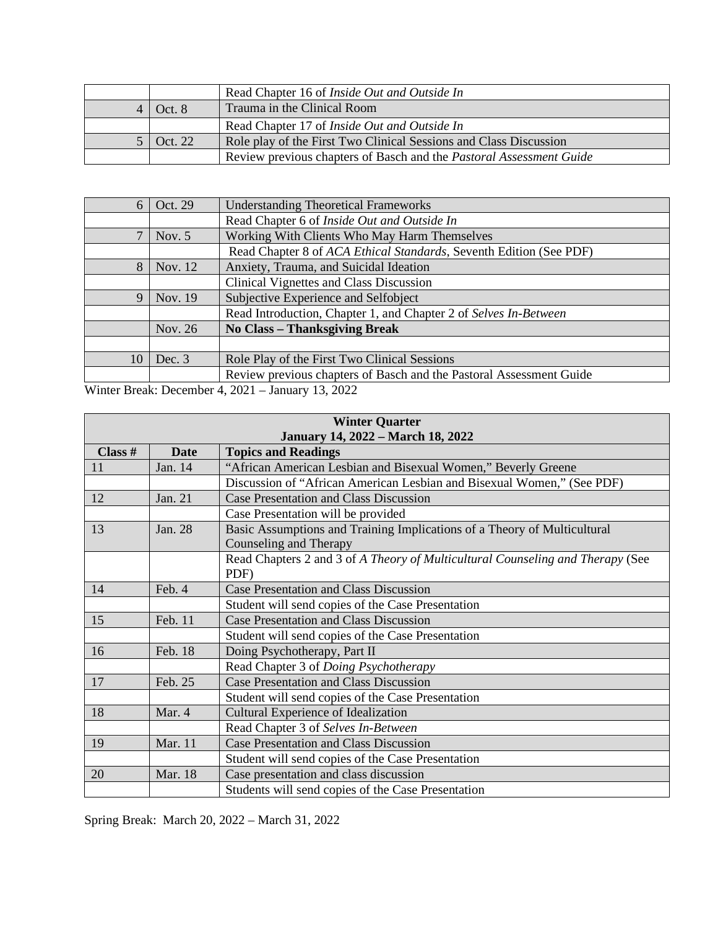|         | Read Chapter 16 of <i>Inside Out and Outside In</i>                        |
|---------|----------------------------------------------------------------------------|
| Oct.8   | Trauma in the Clinical Room                                                |
|         | Read Chapter 17 of <i>Inside Out and Outside In</i>                        |
| Oct. 22 | Role play of the First Two Clinical Sessions and Class Discussion          |
|         | Review previous chapters of Basch and the <i>Pastoral Assessment Guide</i> |

| 6                                                              | Oct. 29   | <b>Understanding Theoretical Frameworks</b>                         |
|----------------------------------------------------------------|-----------|---------------------------------------------------------------------|
|                                                                |           | Read Chapter 6 of Inside Out and Outside In                         |
| 7                                                              | Nov. $5$  | Working With Clients Who May Harm Themselves                        |
|                                                                |           | Read Chapter 8 of ACA Ethical Standards, Seventh Edition (See PDF)  |
| 8                                                              | Nov. $12$ | Anxiety, Trauma, and Suicidal Ideation                              |
|                                                                |           | Clinical Vignettes and Class Discussion                             |
| 9                                                              | Nov. 19   | Subjective Experience and Selfobject                                |
|                                                                |           | Read Introduction, Chapter 1, and Chapter 2 of Selves In-Between    |
|                                                                | Nov. 26   | <b>No Class – Thanksgiving Break</b>                                |
|                                                                |           |                                                                     |
| 10                                                             | Dec. $3$  | Role Play of the First Two Clinical Sessions                        |
|                                                                |           | Review previous chapters of Basch and the Pastoral Assessment Guide |
| $W_{\text{inter}}$ Ducale: December 4, 2021 - Lennews 12, 2022 |           |                                                                     |

Winter Break: December 4, 2021 – January 13, 2022

| <b>Winter Quarter</b>                    |         |                                                                                                    |
|------------------------------------------|---------|----------------------------------------------------------------------------------------------------|
| <b>January 14, 2022 – March 18, 2022</b> |         |                                                                                                    |
| Class #                                  | Date    | <b>Topics and Readings</b>                                                                         |
| 11                                       | Jan. 14 | "African American Lesbian and Bisexual Women," Beverly Greene                                      |
|                                          |         | Discussion of "African American Lesbian and Bisexual Women," (See PDF)                             |
| 12                                       | Jan. 21 | <b>Case Presentation and Class Discussion</b>                                                      |
|                                          |         | Case Presentation will be provided                                                                 |
| 13                                       | Jan. 28 | Basic Assumptions and Training Implications of a Theory of Multicultural<br>Counseling and Therapy |
|                                          |         | Read Chapters 2 and 3 of A Theory of Multicultural Counseling and Therapy (See<br>PDF)             |
| 14                                       | Feb. 4  | <b>Case Presentation and Class Discussion</b>                                                      |
|                                          |         | Student will send copies of the Case Presentation                                                  |
| 15                                       | Feb. 11 | <b>Case Presentation and Class Discussion</b>                                                      |
|                                          |         | Student will send copies of the Case Presentation                                                  |
| 16                                       | Feb. 18 | Doing Psychotherapy, Part II                                                                       |
|                                          |         | Read Chapter 3 of Doing Psychotherapy                                                              |
| 17                                       | Feb. 25 | <b>Case Presentation and Class Discussion</b>                                                      |
|                                          |         | Student will send copies of the Case Presentation                                                  |
| 18                                       | Mar. 4  | Cultural Experience of Idealization                                                                |
|                                          |         | Read Chapter 3 of Selves In-Between                                                                |
| 19                                       | Mar. 11 | <b>Case Presentation and Class Discussion</b>                                                      |
|                                          |         | Student will send copies of the Case Presentation                                                  |
| 20                                       | Mar. 18 | Case presentation and class discussion                                                             |
|                                          |         | Students will send copies of the Case Presentation                                                 |

Spring Break: March 20, 2022 – March 31, 2022